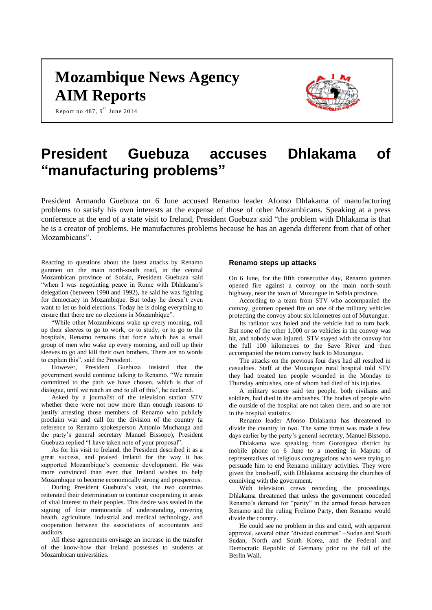# **Mozambique News Agency AIM Reports**

Report no.487,  $9^{\text{th}}$  June 2014



# **President Guebuza accuses Dhlakama of "manufacturing problems"**

President Armando Guebuza on 6 June accused Renamo leader Afonso Dhlakama of manufacturing problems to satisfy his own interests at the expense of those of other Mozambicans. Speaking at a press conference at the end of a state visit to Ireland, President Guebuza said "the problem with Dhlakama is that he is a creator of problems. He manufactures problems because he has an agenda different from that of other Mozambicans".

Reacting to questions about the latest attacks by Renamo gunmen on the main north-south road, in the central Mozambican province of Sofala, President Guebuza said "when I was negotiating peace in Rome with Dhlakama's delegation (between 1990 and 1992), he said he was fighting for democracy in Mozambique. But today he doesn't even want to let us hold elections. Today he is doing everything to ensure that there are no elections in Mozambique".

"While other Mozambicans wake up every morning, roll up their sleeves to go to work, or to study, or to go to the hospitals, Renamo remains that force which has a small group of men who wake up every morning, and roll up their sleeves to go and kill their own brothers. There are no words to explain this", said the President.

However, President Guebuza insisted that the government would continue talking to Renamo. "We remain committed to the path we have chosen, which is that of dialogue, until we reach an end to all of this", he declared.

Asked by a journalist of the television station STV whether there were not now more than enough reasons to justify arresting those members of Renamo who publicly proclaim war and call for the division of the country (a reference to Renamo spokesperson Antonio Muchanga and the party's general secretary Manuel Bissopo), President Guebuza replied "I have taken note of your proposal".

As for his visit to Ireland, the President described it as a great success, and praised Ireland for the way it has supported Mozambique's economic development. He was more convinced than ever that Ireland wishes to help Mozambique to become economically strong and prosperous.

During President Guebuza's visit, the two countries reiterated their determination to continue cooperating in areas of vital interest to their peoples. This desire was sealed in the signing of four memoranda of understanding, covering health, agriculture, industrial and medical technology, and cooperation between the associations of accountants and auditors.

All these agreements envisage an increase in the transfer of the know-how that Ireland possesses to students at Mozambican universities.

#### **Renamo steps up attacks**

On 6 June, for the fifth consecutive day, Renamo gunmen opened fire against a convoy on the main north-south highway, near the town of Muxungue in Sofala province.

According to a team from STV who accompanied the convoy, gunmen opened fire on one of the military vehicles protecting the convoy about six kilometres out of Muxungue.

Its radiator was holed and the vehicle had to turn back. But none of the other 1,000 or so vehicles in the convoy was hit, and nobody was injured. STV stayed with the convoy for the full 100 kilometres to the Save River and then accompanied the return convoy back to Muxungue.

The attacks on the previous four days had all resulted in casualties. Staff at the Muxungue rural hospital told STV they had treated ten people wounded in the Monday to Thursday ambushes, one of whom had died of his injuries.

A military source said ten people, both civilians and soldiers, had died in the ambushes. The bodies of people who die outside of the hospital are not taken there, and so are not in the hospital statistics.

Renamo leader Afonso Dhlakama has threatened to divide the country in two. The same threat was made a few days earlier by the party's general secretary, Manuel Bissopo.

Dhlakama was speaking from Gorongosa district by mobile phone on 6 June to a meeting in Maputo of representatives of religious congregations who were trying to persuade him to end Renamo military activities. They were given the brush-off, with Dhlakama accusing the churches of conniving with the government.

With television crews recording the proceedings, Dhlakama threatened that unless the government conceded Renamo's demand for "parity" in the armed forces between Renamo and the ruling Frelimo Party, then Renamo would divide the country.

He could see no problem in this and cited, with apparent approval, several other "divided countries" –Sudan and South Sudan, North and South Korea, and the Federal and Democratic Republic of Germany prior to the fall of the Berlin Wall.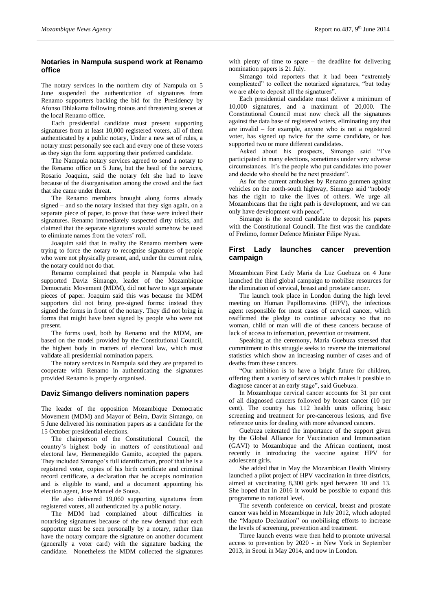# **Notaries in Nampula suspend work at Renamo office**

The notary services in the northern city of Nampula on 5 June suspended the authentication of signatures from Renamo supporters backing the bid for the Presidency by Afonso Dhlakama following riotous and threatening scenes at the local Renamo office.

Each presidential candidate must present supporting signatures from at least 10,000 registered voters, all of them authenticated by a public notary, Under a new set of rules, a notary must personally see each and every one of these voters as they sign the form supporting their preferred candidate.

The Nampula notary services agreed to send a notary to the Renamo office on 5 June, but the head of the services, Rosario Joaquim, said the notary felt she had to leave because of the disorganisation among the crowd and the fact that she came under threat.

The Renamo members brought along forms already signed – and so the notary insisted that they sign again, on a separate piece of paper, to prove that these were indeed their signatures. Renamo immediately suspected dirty tricks, and claimed that the separate signatures would somehow be used to eliminate names from the voters' roll.

Joaquim said that in reality the Renamo members were trying to force the notary to recognise signatures of people who were not physically present, and, under the current rules, the notary could not do that.

Renamo complained that people in Nampula who had supported Daviz Simango, leader of the Mozambique Democratic Movement (MDM), did not have to sign separate pieces of paper. Joaquim said this was because the MDM supporters did not bring pre-signed forms: instead they signed the forms in front of the notary. They did not bring in forms that might have been signed by people who were not present.

The forms used, both by Renamo and the MDM, are based on the model provided by the Constitutional Council, the highest body in matters of electoral law, which must validate all presidential nomination papers.

The notary services in Nampula said they are prepared to cooperate with Renamo in authenticating the signatures provided Renamo is properly organised.

#### **Daviz Simango delivers nomination papers**

The leader of the opposition Mozambique Democratic Movement (MDM) and Mayor of Beira, Daviz Simango, on 5 June delivered his nomination papers as a candidate for the 15 October presidential elections.

The chairperson of the Constitutional Council, the country's highest body in matters of constitutional and electoral law, Hermenegildo Gamito, accepted the papers. They included Simango's full identification, proof that he is a registered voter, copies of his birth certificate and criminal record certificate, a declaration that he accepts nomination and is eligible to stand, and a document appointing his election agent, Jose Manuel de Sousa.

He also delivered 19,060 supporting signatures from registered voters, all authenticated by a public notary.

The MDM had complained about difficulties in notarising signatures because of the new demand that each supporter must be seen personally by a notary, rather than have the notary compare the signature on another document (generally a voter card) with the signature backing the candidate. Nonetheless the MDM collected the signatures

with plenty of time to spare – the deadline for delivering nomination papers is 21 July.

Simango told reporters that it had been "extremely complicated" to collect the notarized signatures, "but today we are able to deposit all the signatures".

Each presidential candidate must deliver a minimum of 10,000 signatures, and a maximum of 20,000. The Constitutional Council must now check all the signatures against the data base of registered voters, eliminating any that are invalid – for example, anyone who is not a registered voter, has signed up twice for the same candidate, or has supported two or more different candidates.

Asked about his prospects, Simango said "I've participated in many elections, sometimes under very adverse circumstances. It's the people who put candidates into power and decide who should be the next president".

As for the current ambushes by Renamo gunmen against vehicles on the north-south highway, Simango said "nobody has the right to take the lives of others. We urge all Mozambicans that the right path is development, and we can only have development with peace".

Simango is the second candidate to deposit his papers with the Constitutional Council. The first was the candidate of Frelimo, former Defence Minister Filipe Nyusi.

# **First Lady launches cancer prevention campaign**

Mozambican First Lady Maria da Luz Guebuza on 4 June launched the third global campaign to mobilise resources for the elimination of cervical, breast and prostate cancer.

The launch took place in London during the high level meeting on Human Papillomavirus (HPV), the infectious agent responsible for most cases of cervical cancer, which reaffirmed the pledge to continue advocacy so that no woman, child or man will die of these cancers because of lack of access to information, prevention or treatment.

Speaking at the ceremony, Maria Guebuza stressed that commitment to this struggle seeks to reverse the international statistics which show an increasing number of cases and of deaths from these cancers.

"Our ambition is to have a bright future for children, offering them a variety of services which makes it possible to diagnose cancer at an early stage", said Guebuza.

In Mozambique cervical cancer accounts for 31 per cent of all diagnosed cancers followed by breast cancer (10 per cent). The country has 112 health units offering basic screening and treatment for pre-cancerous lesions, and five reference units for dealing with more advanced cancers.

Guebuza reiterated the importance of the support given by the Global Alliance for Vaccination and Immunisation (GAVI) to Mozambique and the African continent, most recently in introducing the vaccine against HPV for adolescent girls.

She added that in May the Mozambican Health Ministry launched a pilot project of HPV vaccination in three districts, aimed at vaccinating 8,300 girls aged between 10 and 13. She hoped that in 2016 it would be possible to expand this programme to national level.

The seventh conference on cervical, breast and prostate cancer was held in Mozambique in July 2012, which adopted the "Maputo Declaration" on mobilising efforts to increase the levels of screening, prevention and treatment.

Three launch events were then held to promote universal access to prevention by 2020 - in New York in September 2013, in Seoul in May 2014, and now in London.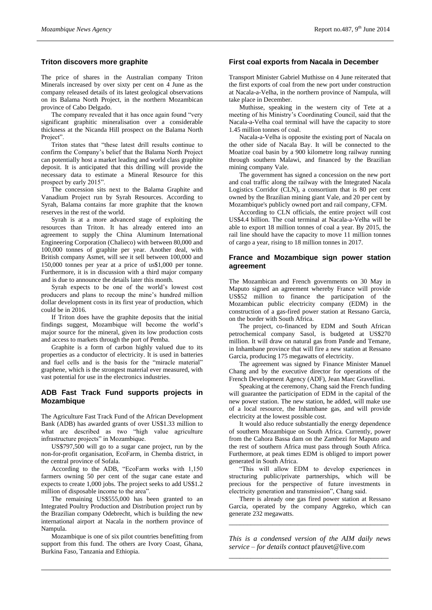#### **Triton discovers more graphite**

The price of shares in the Australian company Triton Minerals increased by over sixty per cent on 4 June as the company released details of its latest geological observations on its Balama North Project, in the northern Mozambican province of Cabo Delgado.

The company revealed that it has once again found "very significant graphitic mineralisation over a considerable thickness at the Nicanda Hill prospect on the Balama North Project".

Triton states that "these latest drill results continue to confirm the Company's belief that the Balama North Project can potentially host a market leading and world class graphite deposit. It is anticipated that this drilling will provide the necessary data to estimate a Mineral Resource for this prospect by early 2015".

The concession sits next to the Balama Graphite and Vanadium Project run by Syrah Resources. According to Syrah, Balama contains far more graphite that the known reserves in the rest of the world.

Syrah is at a more advanced stage of exploiting the resources than Triton. It has already entered into an agreement to supply the China Aluminum International Engineering Corporation (Chalieco) with between 80,000 and 100,000 tonnes of graphite per year. Another deal, with British company Asmet, will see it sell between 100,000 and 150,000 tonnes per year at a price of us\$1,000 per tonne. Furthermore, it is in discussion with a third major company and is due to announce the details later this month.

Syrah expects to be one of the world's lowest cost producers and plans to recoup the mine's hundred million dollar development costs in its first year of production, which could be in 2016.

If Triton does have the graphite deposits that the initial findings suggest, Mozambique will become the world's major source for the mineral, given its low production costs and access to markets through the port of Pemba.

Graphite is a form of carbon highly valued due to its properties as a conductor of electricity. It is used in batteries and fuel cells and is the basis for the "miracle material" graphene, which is the strongest material ever measured, with vast potential for use in the electronics industries.

# **ADB Fast Track Fund supports projects in Mozambique**

The Agriculture Fast Track Fund of the African Development Bank (ADB) has awarded grants of over US\$1.33 million to what are described as two "high value agriculture infrastructure projects" in Mozambique.

US\$797,500 will go to a sugar cane project, run by the non-for-profit organisation, EcoFarm, in Chemba district, in the central province of Sofala.

According to the ADB, "EcoFarm works with 1,150 farmers owning 50 per cent of the sugar cane estate and expects to create 1,000 jobs. The project seeks to add US\$1.2 million of disposable income to the area".

The remaining US\$555,000 has been granted to an Integrated Poultry Production and Distribution project run by the Brazilian company Odebrecht, which is building the new international airport at Nacala in the northern province of Nampula.

Mozambique is one of six pilot countries benefitting from support from this fund. The others are Ivory Coast, Ghana, Burkina Faso, Tanzania and Ethiopia.

#### **First coal exports from Nacala in December**

Transport Minister Gabriel Muthisse on 4 June reiterated that the first exports of coal from the new port under construction at Nacala-a-Velha, in the northern province of Nampula, will take place in December.

Muthisse, speaking in the western city of Tete at a meeting of his Ministry's Coordinating Council, said that the Nacala-a-Velha coal terminal will have the capacity to store 1.45 million tonnes of coal.

Nacala-a-Velha is opposite the existing port of Nacala on the other side of Nacala Bay. It will be connected to the Moatize coal basin by a 900 kilometre long railway running through southern Malawi, and financed by the Brazilian mining company Vale.

The government has signed a concession on the new port and coal traffic along the railway with the Integrated Nacala Logistics Corridor (CLN), a consortium that is 80 per cent owned by the Brazilian mining giant Vale, and 20 per cent by Mozambique's publicly owned port and rail company, CFM.

According to CLN officials, the entire project will cost US\$4.4 billion. The coal terminal at Nacala-a-Velha will be able to export 18 million tonnes of coal a year. By 2015, the rail line should have the capacity to move 11 million tonnes of cargo a year, rising to 18 million tonnes in 2017.

## **France and Mozambique sign power station agreement**

The Mozambican and French governments on 30 May in Maputo signed an agreement whereby France will provide US\$52 million to finance the participation of the Mozambican public electricity company (EDM) in the construction of a gas-fired power station at Ressano Garcia, on the border with South Africa.

The project, co-financed by EDM and South African petrochemical company Sasol, is budgeted at US\$270 million. It will draw on natural gas from Pande and Temane, in Inhambane province that will fire a new station at Ressano Garcia, producing 175 megawatts of electricity.

The agreement was signed by Finance Minister Manuel Chang and by the executive director for operations of the French Development Agency (ADF), Jean Marc Gravellini.

Speaking at the ceremony, Chang said the French funding will guarantee the participation of EDM in the capital of the new power station. The new station, he added, will make use of a local resource, the Inhambane gas, and will provide electricity at the lowest possible cost.

It would also reduce substantially the energy dependence of southern Mozambique on South Africa. Currently, power from the Cahora Bassa dam on the Zambezi for Maputo and the rest of southern Africa must pass through South Africa. Furthermore, at peak times EDM is obliged to import power generated in South Africa.

"This will allow EDM to develop experiences in structuring public/private partnerships, which will be precious for the perspective of future investments in electricity generation and transmission", Chang said.

There is already one gas fired power station at Ressano Garcia, operated by the company Aggreko, which can generate 232 megawatts.

*\_\_\_\_\_\_\_\_\_\_\_\_\_\_\_\_\_\_\_\_\_\_\_\_\_\_\_\_\_\_\_\_\_\_\_\_\_\_\_\_\_\_\_\_*

*This is a condensed version of the AIM daily news service – for details contact* pfauvet@live.com *\_\_\_\_\_\_\_\_\_\_\_\_\_\_\_\_\_\_\_\_\_\_\_\_\_\_\_\_\_\_\_\_\_\_\_\_\_\_\_\_\_\_\_\_*